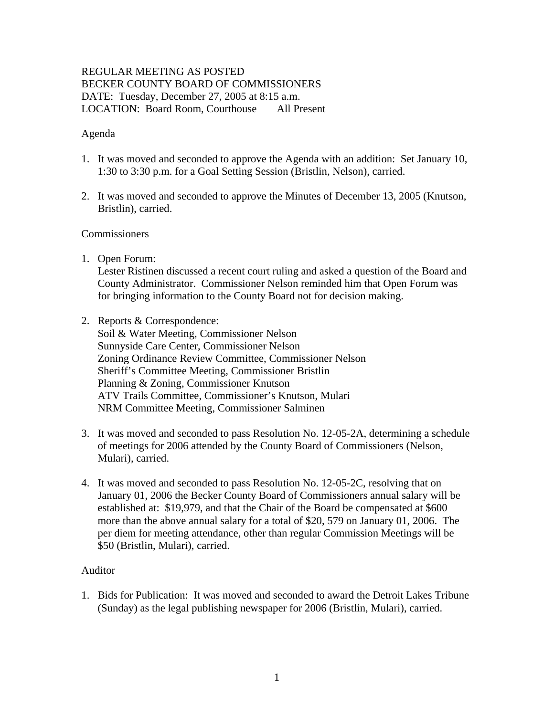# REGULAR MEETING AS POSTED BECKER COUNTY BOARD OF COMMISSIONERS DATE: Tuesday, December 27, 2005 at 8:15 a.m. LOCATION: Board Room, Courthouse All Present

## Agenda

- 1. It was moved and seconded to approve the Agenda with an addition: Set January 10, 1:30 to 3:30 p.m. for a Goal Setting Session (Bristlin, Nelson), carried.
- 2. It was moved and seconded to approve the Minutes of December 13, 2005 (Knutson, Bristlin), carried.

## **Commissioners**

1. Open Forum:

Lester Ristinen discussed a recent court ruling and asked a question of the Board and County Administrator. Commissioner Nelson reminded him that Open Forum was for bringing information to the County Board not for decision making.

2. Reports & Correspondence:

Soil & Water Meeting, Commissioner Nelson Sunnyside Care Center, Commissioner Nelson Zoning Ordinance Review Committee, Commissioner Nelson Sheriff's Committee Meeting, Commissioner Bristlin Planning & Zoning, Commissioner Knutson ATV Trails Committee, Commissioner's Knutson, Mulari NRM Committee Meeting, Commissioner Salminen

- 3. It was moved and seconded to pass Resolution No. 12-05-2A, determining a schedule of meetings for 2006 attended by the County Board of Commissioners (Nelson, Mulari), carried.
- 4. It was moved and seconded to pass Resolution No. 12-05-2C, resolving that on January 01, 2006 the Becker County Board of Commissioners annual salary will be established at: \$19,979, and that the Chair of the Board be compensated at \$600 more than the above annual salary for a total of \$20, 579 on January 01, 2006. The per diem for meeting attendance, other than regular Commission Meetings will be \$50 (Bristlin, Mulari), carried.

## Auditor

1. Bids for Publication: It was moved and seconded to award the Detroit Lakes Tribune (Sunday) as the legal publishing newspaper for 2006 (Bristlin, Mulari), carried.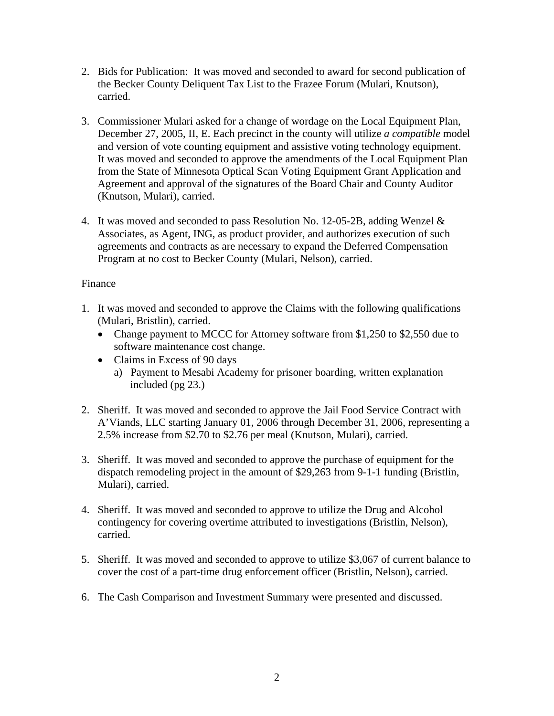- 2. Bids for Publication: It was moved and seconded to award for second publication of the Becker County Deliquent Tax List to the Frazee Forum (Mulari, Knutson), carried.
- 3. Commissioner Mulari asked for a change of wordage on the Local Equipment Plan, December 27, 2005, II, E. Each precinct in the county will utilize *a compatible* model and version of vote counting equipment and assistive voting technology equipment. It was moved and seconded to approve the amendments of the Local Equipment Plan from the State of Minnesota Optical Scan Voting Equipment Grant Application and Agreement and approval of the signatures of the Board Chair and County Auditor (Knutson, Mulari), carried.
- 4. It was moved and seconded to pass Resolution No. 12-05-2B, adding Wenzel  $\&$ Associates, as Agent, ING, as product provider, and authorizes execution of such agreements and contracts as are necessary to expand the Deferred Compensation Program at no cost to Becker County (Mulari, Nelson), carried.

# Finance

- 1. It was moved and seconded to approve the Claims with the following qualifications (Mulari, Bristlin), carried.
	- Change payment to MCCC for Attorney software from \$1,250 to \$2,550 due to software maintenance cost change.
	- Claims in Excess of 90 days
		- a) Payment to Mesabi Academy for prisoner boarding, written explanation included (pg 23.)
- 2. Sheriff. It was moved and seconded to approve the Jail Food Service Contract with A'Viands, LLC starting January 01, 2006 through December 31, 2006, representing a 2.5% increase from \$2.70 to \$2.76 per meal (Knutson, Mulari), carried.
- 3. Sheriff. It was moved and seconded to approve the purchase of equipment for the dispatch remodeling project in the amount of \$29,263 from 9-1-1 funding (Bristlin, Mulari), carried.
- 4. Sheriff. It was moved and seconded to approve to utilize the Drug and Alcohol contingency for covering overtime attributed to investigations (Bristlin, Nelson), carried.
- 5. Sheriff. It was moved and seconded to approve to utilize \$3,067 of current balance to cover the cost of a part-time drug enforcement officer (Bristlin, Nelson), carried.
- 6. The Cash Comparison and Investment Summary were presented and discussed.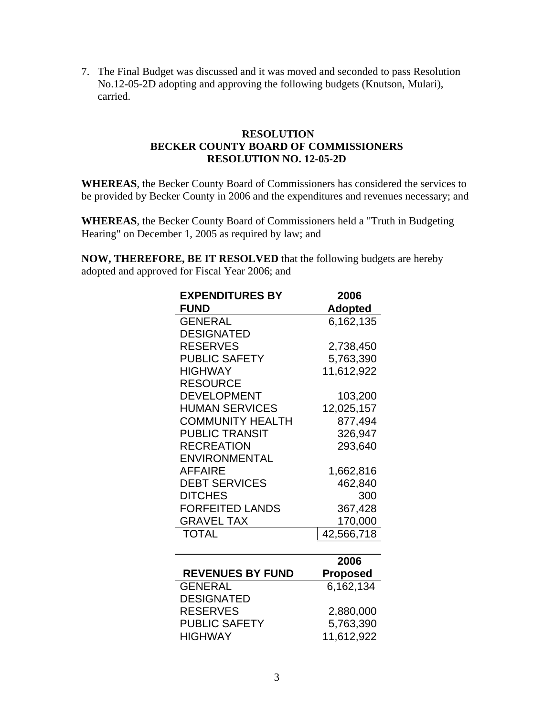7. The Final Budget was discussed and it was moved and seconded to pass Resolution No.12-05-2D adopting and approving the following budgets (Knutson, Mulari), carried.

## **RESOLUTION BECKER COUNTY BOARD OF COMMISSIONERS RESOLUTION NO. 12-05-2D**

**WHEREAS**, the Becker County Board of Commissioners has considered the services to be provided by Becker County in 2006 and the expenditures and revenues necessary; and

**WHEREAS**, the Becker County Board of Commissioners held a "Truth in Budgeting Hearing" on December 1, 2005 as required by law; and

**NOW, THEREFORE, BE IT RESOLVED** that the following budgets are hereby adopted and approved for Fiscal Year 2006; and

| 2006            |
|-----------------|
| <b>Adopted</b>  |
| 6,162,135       |
|                 |
| 2,738,450       |
| 5,763,390       |
| 11,612,922      |
|                 |
| 103,200         |
| 12,025,157      |
| 877,494         |
| 326,947         |
| 293,640         |
|                 |
| 1,662,816       |
| 462,840         |
| 300             |
| 367,428         |
| 170,000         |
| 42,566,718      |
|                 |
| 2006            |
| <b>Proposed</b> |
| 6,162,134       |
|                 |
| 2,880,000       |
| 5,763,390       |
| 11,612,922      |
|                 |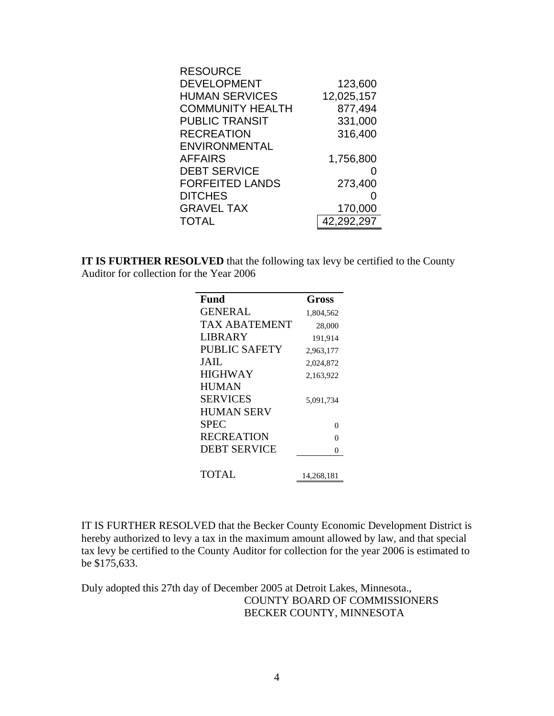| <b>RESOURCE</b>         |            |
|-------------------------|------------|
| <b>DEVELOPMENT</b>      | 123,600    |
| <b>HUMAN SERVICES</b>   | 12,025,157 |
| <b>COMMUNITY HEALTH</b> | 877,494    |
| <b>PUBLIC TRANSIT</b>   | 331,000    |
| <b>RECREATION</b>       | 316,400    |
| <b>ENVIRONMENTAL</b>    |            |
| <b>AFFAIRS</b>          | 1,756,800  |
| <b>DEBT SERVICE</b>     |            |
| <b>FORFEITED LANDS</b>  | 273,400    |
| <b>DITCHES</b>          |            |
| <b>GRAVEL TAX</b>       | 170,000    |
| <b>TOTAL</b>            | 42,292,297 |

**IT IS FURTHER RESOLVED** that the following tax levy be certified to the County Auditor for collection for the Year 2006

| Fund                 | Gross      |
|----------------------|------------|
| <b>GENERAL</b>       | 1,804,562  |
| <b>TAX ABATEMENT</b> | 28,000     |
| <b>LIBRARY</b>       | 191,914    |
| PUBLIC SAFETY        | 2,963,177  |
| JAIL.                | 2,024,872  |
| <b>HIGHWAY</b>       | 2,163,922  |
| <b>HUMAN</b>         |            |
| <b>SERVICES</b>      | 5,091,734  |
| <b>HUMAN SERV</b>    |            |
| <b>SPEC</b>          | 0          |
| <b>RECREATION</b>    | $\Omega$   |
| <b>DEBT SERVICE</b>  | 0          |
| TOTAL                | 14,268,181 |

IT IS FURTHER RESOLVED that the Becker County Economic Development District is hereby authorized to levy a tax in the maximum amount allowed by law, and that special tax levy be certified to the County Auditor for collection for the year 2006 is estimated to be \$175,633.

Duly adopted this 27th day of December 2005 at Detroit Lakes, Minnesota., COUNTY BOARD OF COMMISSIONERS BECKER COUNTY, MINNESOTA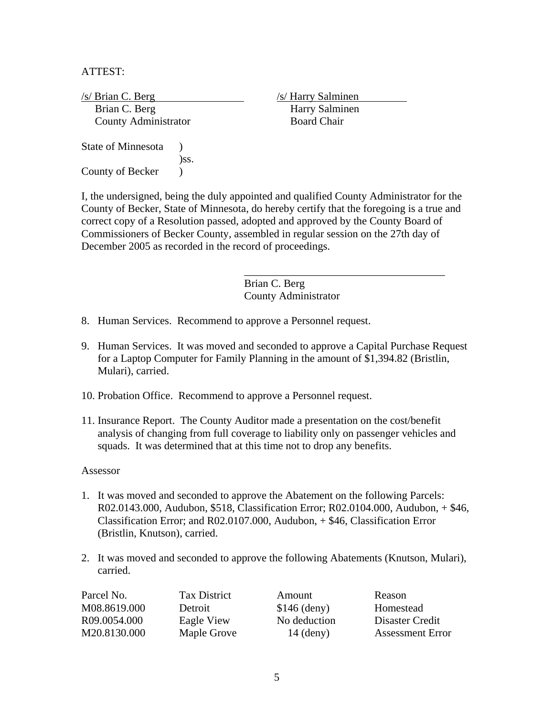ATTEST:

/s/ Brian C. Berg /s/ Harry Salminen Brian C. Berg Harry Salminen **County Administrator** Board Chair State of Minnesota ) )ss. County of Becker (1)

I, the undersigned, being the duly appointed and qualified County Administrator for the County of Becker, State of Minnesota, do hereby certify that the foregoing is a true and correct copy of a Resolution passed, adopted and approved by the County Board of Commissioners of Becker County, assembled in regular session on the 27th day of December 2005 as recorded in the record of proceedings.

 $\overline{\phantom{a}}$  , and the contract of the contract of the contract of the contract of the contract of the contract of the contract of the contract of the contract of the contract of the contract of the contract of the contrac

 Brian C. Berg County Administrator

- 8. Human Services. Recommend to approve a Personnel request.
- 9. Human Services. It was moved and seconded to approve a Capital Purchase Request for a Laptop Computer for Family Planning in the amount of \$1,394.82 (Bristlin, Mulari), carried.
- 10. Probation Office. Recommend to approve a Personnel request.
- 11. Insurance Report. The County Auditor made a presentation on the cost/benefit analysis of changing from full coverage to liability only on passenger vehicles and squads. It was determined that at this time not to drop any benefits.

#### Assessor

- 1. It was moved and seconded to approve the Abatement on the following Parcels: R02.0143.000, Audubon, \$518, Classification Error; R02.0104.000, Audubon, + \$46, Classification Error; and R02.0107.000, Audubon, + \$46, Classification Error (Bristlin, Knutson), carried.
- 2. It was moved and seconded to approve the following Abatements (Knutson, Mulari), carried.

| Parcel No.   | <b>Tax District</b> | Amount        | Reason                  |
|--------------|---------------------|---------------|-------------------------|
| M08.8619.000 | Detroit             | $$146$ (deny) | Homestead               |
| R09.0054.000 | Eagle View          | No deduction  | Disaster Credit         |
| M20.8130.000 | Maple Grove         | $14$ (deny)   | <b>Assessment Error</b> |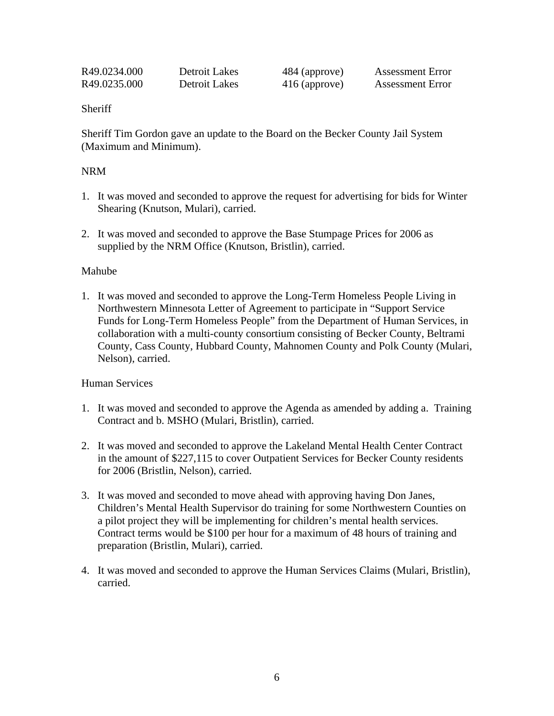| R49.0234.000 | Detroit Lakes | 484 (approve) | <b>Assessment Error</b> |
|--------------|---------------|---------------|-------------------------|
| R49.0235.000 | Detroit Lakes | 416 (approve) | <b>Assessment Error</b> |

### **Sheriff**

Sheriff Tim Gordon gave an update to the Board on the Becker County Jail System (Maximum and Minimum).

## NRM

- 1. It was moved and seconded to approve the request for advertising for bids for Winter Shearing (Knutson, Mulari), carried.
- 2. It was moved and seconded to approve the Base Stumpage Prices for 2006 as supplied by the NRM Office (Knutson, Bristlin), carried.

#### Mahube

1. It was moved and seconded to approve the Long-Term Homeless People Living in Northwestern Minnesota Letter of Agreement to participate in "Support Service Funds for Long-Term Homeless People" from the Department of Human Services, in collaboration with a multi-county consortium consisting of Becker County, Beltrami County, Cass County, Hubbard County, Mahnomen County and Polk County (Mulari, Nelson), carried.

## Human Services

- 1. It was moved and seconded to approve the Agenda as amended by adding a. Training Contract and b. MSHO (Mulari, Bristlin), carried.
- 2. It was moved and seconded to approve the Lakeland Mental Health Center Contract in the amount of \$227,115 to cover Outpatient Services for Becker County residents for 2006 (Bristlin, Nelson), carried.
- 3. It was moved and seconded to move ahead with approving having Don Janes, Children's Mental Health Supervisor do training for some Northwestern Counties on a pilot project they will be implementing for children's mental health services. Contract terms would be \$100 per hour for a maximum of 48 hours of training and preparation (Bristlin, Mulari), carried.
- 4. It was moved and seconded to approve the Human Services Claims (Mulari, Bristlin), carried.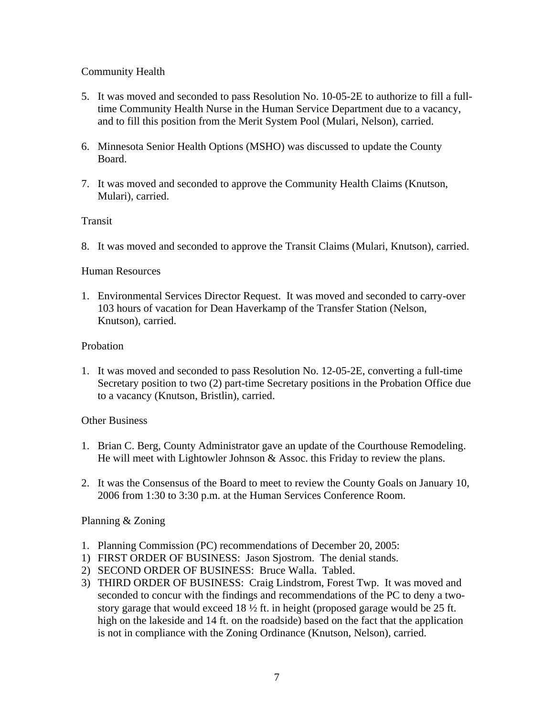# Community Health

- 5. It was moved and seconded to pass Resolution No. 10-05-2E to authorize to fill a fulltime Community Health Nurse in the Human Service Department due to a vacancy, and to fill this position from the Merit System Pool (Mulari, Nelson), carried.
- 6. Minnesota Senior Health Options (MSHO) was discussed to update the County Board.
- 7. It was moved and seconded to approve the Community Health Claims (Knutson, Mulari), carried.

# Transit

8. It was moved and seconded to approve the Transit Claims (Mulari, Knutson), carried.

## Human Resources

1. Environmental Services Director Request. It was moved and seconded to carry-over 103 hours of vacation for Dean Haverkamp of the Transfer Station (Nelson, Knutson), carried.

## Probation

1. It was moved and seconded to pass Resolution No. 12-05-2E, converting a full-time Secretary position to two (2) part-time Secretary positions in the Probation Office due to a vacancy (Knutson, Bristlin), carried.

## Other Business

- 1. Brian C. Berg, County Administrator gave an update of the Courthouse Remodeling. He will meet with Lightowler Johnson & Assoc. this Friday to review the plans.
- 2. It was the Consensus of the Board to meet to review the County Goals on January 10, 2006 from 1:30 to 3:30 p.m. at the Human Services Conference Room.

# Planning & Zoning

- 1. Planning Commission (PC) recommendations of December 20, 2005:
- 1) FIRST ORDER OF BUSINESS: Jason Sjostrom. The denial stands.
- 2) SECOND ORDER OF BUSINESS: Bruce Walla. Tabled.
- 3) THIRD ORDER OF BUSINESS: Craig Lindstrom, Forest Twp. It was moved and seconded to concur with the findings and recommendations of the PC to deny a twostory garage that would exceed  $18\frac{1}{2}$  ft. in height (proposed garage would be 25 ft. high on the lakeside and 14 ft. on the roadside) based on the fact that the application is not in compliance with the Zoning Ordinance (Knutson, Nelson), carried.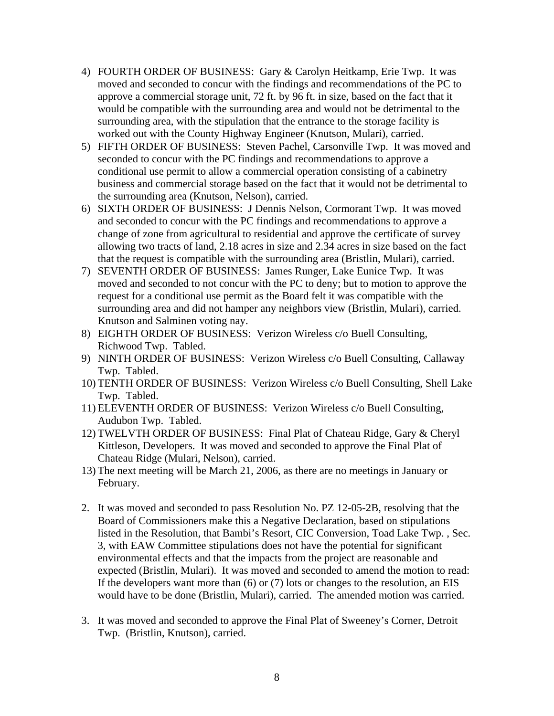- 4) FOURTH ORDER OF BUSINESS: Gary & Carolyn Heitkamp, Erie Twp. It was moved and seconded to concur with the findings and recommendations of the PC to approve a commercial storage unit, 72 ft. by 96 ft. in size, based on the fact that it would be compatible with the surrounding area and would not be detrimental to the surrounding area, with the stipulation that the entrance to the storage facility is worked out with the County Highway Engineer (Knutson, Mulari), carried.
- 5) FIFTH ORDER OF BUSINESS: Steven Pachel, Carsonville Twp. It was moved and seconded to concur with the PC findings and recommendations to approve a conditional use permit to allow a commercial operation consisting of a cabinetry business and commercial storage based on the fact that it would not be detrimental to the surrounding area (Knutson, Nelson), carried.
- 6) SIXTH ORDER OF BUSINESS: J Dennis Nelson, Cormorant Twp. It was moved and seconded to concur with the PC findings and recommendations to approve a change of zone from agricultural to residential and approve the certificate of survey allowing two tracts of land, 2.18 acres in size and 2.34 acres in size based on the fact that the request is compatible with the surrounding area (Bristlin, Mulari), carried.
- 7) SEVENTH ORDER OF BUSINESS: James Runger, Lake Eunice Twp. It was moved and seconded to not concur with the PC to deny; but to motion to approve the request for a conditional use permit as the Board felt it was compatible with the surrounding area and did not hamper any neighbors view (Bristlin, Mulari), carried. Knutson and Salminen voting nay.
- 8) EIGHTH ORDER OF BUSINESS: Verizon Wireless c/o Buell Consulting, Richwood Twp. Tabled.
- 9) NINTH ORDER OF BUSINESS: Verizon Wireless c/o Buell Consulting, Callaway Twp. Tabled.
- 10) TENTH ORDER OF BUSINESS: Verizon Wireless c/o Buell Consulting, Shell Lake Twp. Tabled.
- 11) ELEVENTH ORDER OF BUSINESS: Verizon Wireless c/o Buell Consulting, Audubon Twp. Tabled.
- 12) TWELVTH ORDER OF BUSINESS: Final Plat of Chateau Ridge, Gary & Cheryl Kittleson, Developers. It was moved and seconded to approve the Final Plat of Chateau Ridge (Mulari, Nelson), carried.
- 13) The next meeting will be March 21, 2006, as there are no meetings in January or February.
- 2. It was moved and seconded to pass Resolution No. PZ 12-05-2B, resolving that the Board of Commissioners make this a Negative Declaration, based on stipulations listed in the Resolution, that Bambi's Resort, CIC Conversion, Toad Lake Twp. , Sec. 3, with EAW Committee stipulations does not have the potential for significant environmental effects and that the impacts from the project are reasonable and expected (Bristlin, Mulari). It was moved and seconded to amend the motion to read: If the developers want more than (6) or (7) lots or changes to the resolution, an EIS would have to be done (Bristlin, Mulari), carried. The amended motion was carried.
- 3. It was moved and seconded to approve the Final Plat of Sweeney's Corner, Detroit Twp. (Bristlin, Knutson), carried.